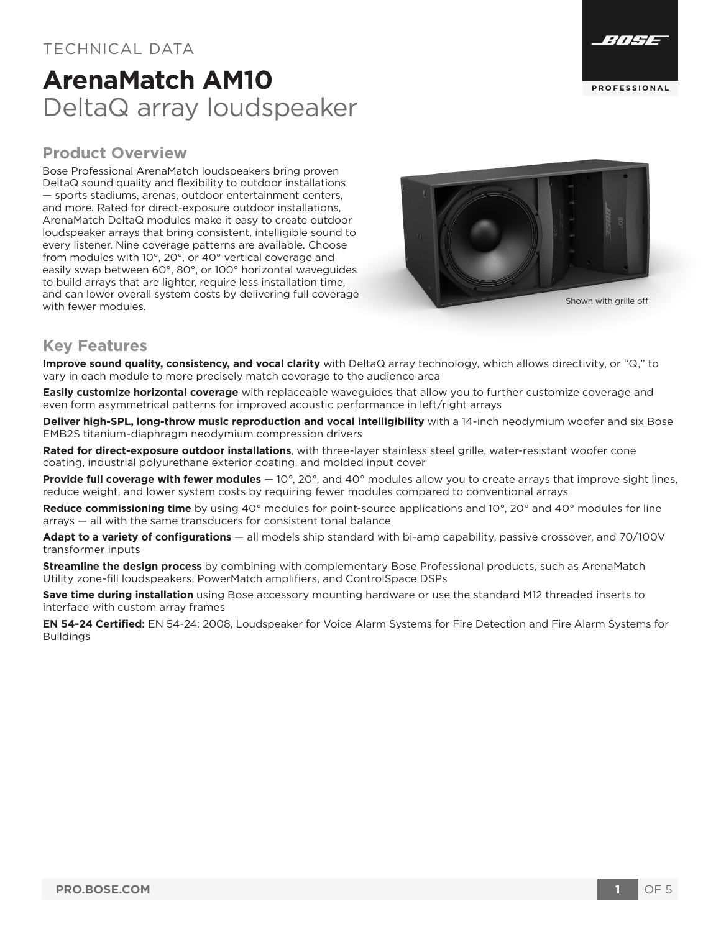#### TECHNICAL DATA

## **ArenaMatch AM10** DeltaQ array loudspeaker



Bose Professional ArenaMatch loudspeakers bring proven DeltaQ sound quality and flexibility to outdoor installations — sports stadiums, arenas, outdoor entertainment centers, and more. Rated for direct-exposure outdoor installations, ArenaMatch DeltaQ modules make it easy to create outdoor loudspeaker arrays that bring consistent, intelligible sound to every listener. Nine coverage patterns are available. Choose from modules with 10°, 20°, or 40° vertical coverage and easily swap between 60°, 80°, or 100° horizontal waveguides to build arrays that are lighter, require less installation time, and can lower overall system costs by delivering full coverage with fewer modules.



#### **Key Features**

**Improve sound quality, consistency, and vocal clarity** with DeltaQ array technology, which allows directivity, or "Q," to vary in each module to more precisely match coverage to the audience area

**Easily customize horizontal coverage** with replaceable waveguides that allow you to further customize coverage and even form asymmetrical patterns for improved acoustic performance in left/right arrays

**Deliver high-SPL, long-throw music reproduction and vocal intelligibility** with a 14-inch neodymium woofer and six Bose EMB2S titanium-diaphragm neodymium compression drivers

**Rated for direct-exposure outdoor installations**, with three-layer stainless steel grille, water-resistant woofer cone coating, industrial polyurethane exterior coating, and molded input cover

**Provide full coverage with fewer modules** — 10°, 20°, and 40° modules allow you to create arrays that improve sight lines, reduce weight, and lower system costs by requiring fewer modules compared to conventional arrays

**Reduce commissioning time** by using 40° modules for point-source applications and 10°, 20° and 40° modules for line arrays — all with the same transducers for consistent tonal balance

**Adapt to a variety of configurations** — all models ship standard with bi-amp capability, passive crossover, and 70/100V transformer inputs

**Streamline the design process** by combining with complementary Bose Professional products, such as ArenaMatch Utility zone-fill loudspeakers, PowerMatch amplifiers, and ControlSpace DSPs

**Save time during installation** using Bose accessory mounting hardware or use the standard M12 threaded inserts to interface with custom array frames

**EN 54-24 Certified:** EN 54-24: 2008, Loudspeaker for Voice Alarm Systems for Fire Detection and Fire Alarm Systems for Buildings

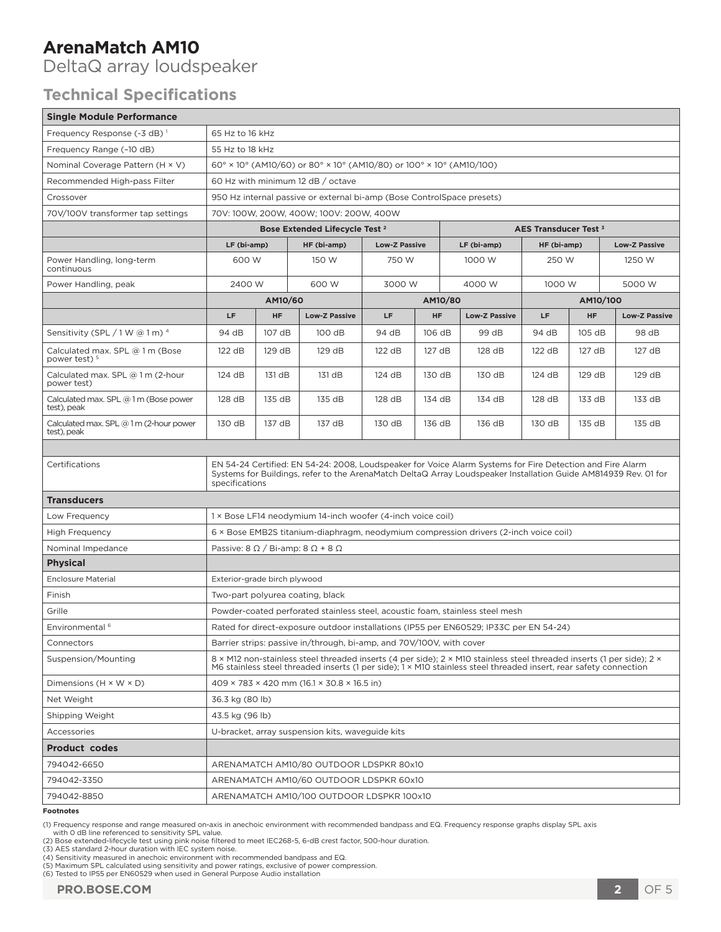DeltaQ array loudspeaker

### **Technical Specifications**

| <b>Single Module Performance</b>                            |                                                                                                                                                                                                                                                |           |                                           |                      |           |                      |                                  |           |                      |
|-------------------------------------------------------------|------------------------------------------------------------------------------------------------------------------------------------------------------------------------------------------------------------------------------------------------|-----------|-------------------------------------------|----------------------|-----------|----------------------|----------------------------------|-----------|----------------------|
| Frequency Response (-3 dB) <sup>1</sup>                     | 65 Hz to 16 kHz                                                                                                                                                                                                                                |           |                                           |                      |           |                      |                                  |           |                      |
| Frequency Range (-10 dB)                                    | 55 Hz to 18 kHz                                                                                                                                                                                                                                |           |                                           |                      |           |                      |                                  |           |                      |
| Nominal Coverage Pattern (H × V)                            | 60° × 10° (AM10/60) or 80° × 10° (AM10/80) or 100° × 10° (AM10/100)                                                                                                                                                                            |           |                                           |                      |           |                      |                                  |           |                      |
| Recommended High-pass Filter                                | 60 Hz with minimum 12 dB / octave                                                                                                                                                                                                              |           |                                           |                      |           |                      |                                  |           |                      |
| Crossover                                                   | 950 Hz internal passive or external bi-amp (Bose ControlSpace presets)                                                                                                                                                                         |           |                                           |                      |           |                      |                                  |           |                      |
| 70V/100V transformer tap settings                           | 70V: 100W, 200W, 400W; 100V: 200W, 400W                                                                                                                                                                                                        |           |                                           |                      |           |                      |                                  |           |                      |
|                                                             |                                                                                                                                                                                                                                                |           | Bose Extended Lifecycle Test <sup>2</sup> |                      |           |                      | AES Transducer Test <sup>3</sup> |           |                      |
|                                                             | LF (bi-amp)                                                                                                                                                                                                                                    |           | HF (bi-amp)                               | <b>Low-Z Passive</b> |           | LF (bi-amp)          | HF (bi-amp)                      |           | <b>Low-Z Passive</b> |
| Power Handling, long-term<br>continuous                     | 600 W                                                                                                                                                                                                                                          |           | 150 W                                     | 750 W                |           | 1000 W               | 250 W                            |           | 1250 W               |
| Power Handling, peak                                        | 2400 W                                                                                                                                                                                                                                         |           | 600 W                                     | 3000 W               |           | 4000 W               | 1000 W                           |           | 5000 W               |
|                                                             | AM10/60                                                                                                                                                                                                                                        |           |                                           | AM10/80              |           |                      | AM10/100                         |           |                      |
|                                                             | LF                                                                                                                                                                                                                                             | <b>HF</b> | <b>Low-Z Passive</b>                      | LF                   | <b>HF</b> | <b>Low-Z Passive</b> | LF                               | <b>HF</b> | <b>Low-Z Passive</b> |
| Sensitivity (SPL $/1$ W @ 1 m) $4$                          | 94 dB                                                                                                                                                                                                                                          | 107 dB    | 100 dB                                    | 94 dB                | 106 dB    | 99 dB                | 94 dB                            | 105 dB    | 98 dB                |
| Calculated max. SPL @ 1 m (Bose<br>power test) <sup>5</sup> | 122 dB                                                                                                                                                                                                                                         | 129 dB    | 129 dB                                    | 122 dB               | 127 dB    | 128 dB               | 122 dB                           | 127 dB    | 127 dB               |
| Calculated max. SPL @ 1 m (2-hour<br>power test)            | 124 dB                                                                                                                                                                                                                                         | 131 dB    | 131 dB                                    | 124 dB               | 130 dB    | 130 dB               | 124 dB                           | 129 dB    | 129 dB               |
| Calculated max. SPL @ 1 m (Bose power<br>test), peak        | 128 dB                                                                                                                                                                                                                                         | 135 dB    | 135 dB                                    | 128 dB               | 134 dB    | 134 dB               | 128 dB                           | 133 dB    | 133 dB               |
| Calculated max. SPL $@1m(2$ -hour power<br>test), peak      | 130 dB                                                                                                                                                                                                                                         | 137 dB    | 137 dB                                    | 130 dB               | 136 dB    | 136 dB               | 130 dB                           | 135 dB    | 135 dB               |
|                                                             |                                                                                                                                                                                                                                                |           |                                           |                      |           |                      |                                  |           |                      |
| Certifications                                              | EN 54-24 Certified: EN 54-24: 2008, Loudspeaker for Voice Alarm Systems for Fire Detection and Fire Alarm<br>Systems for Buildings, refer to the ArenaMatch DeltaQ Array Loudspeaker Installation Guide AM814939 Rev. 01 for<br>specifications |           |                                           |                      |           |                      |                                  |           |                      |
| <b>Transducers</b>                                          |                                                                                                                                                                                                                                                |           |                                           |                      |           |                      |                                  |           |                      |
| Low Frequency                                               | 1 × Bose LF14 neodymium 14-inch woofer (4-inch voice coil)                                                                                                                                                                                     |           |                                           |                      |           |                      |                                  |           |                      |
| <b>High Frequency</b>                                       | 6 × Bose EMB2S titanium-diaphragm, neodymium compression drivers (2-inch voice coil)                                                                                                                                                           |           |                                           |                      |           |                      |                                  |           |                      |
| Nominal Impedance                                           | Passive: $8 \Omega / Bi$ -amp: $8 \Omega + 8 \Omega$                                                                                                                                                                                           |           |                                           |                      |           |                      |                                  |           |                      |
| <b>Physical</b>                                             |                                                                                                                                                                                                                                                |           |                                           |                      |           |                      |                                  |           |                      |
| <b>Enclosure Material</b>                                   | Exterior-grade birch plywood                                                                                                                                                                                                                   |           |                                           |                      |           |                      |                                  |           |                      |
| Finish                                                      | Two-part polyurea coating, black                                                                                                                                                                                                               |           |                                           |                      |           |                      |                                  |           |                      |
| Grille                                                      | Powder-coated perforated stainless steel, acoustic foam, stainless steel mesh                                                                                                                                                                  |           |                                           |                      |           |                      |                                  |           |                      |
| Environmental <sup>6</sup>                                  | Rated for direct-exposure outdoor installations (IP55 per EN60529; IP33C per EN 54-24)                                                                                                                                                         |           |                                           |                      |           |                      |                                  |           |                      |
| Connectors                                                  | Barrier strips: passive in/through, bi-amp, and 70V/100V, with cover                                                                                                                                                                           |           |                                           |                      |           |                      |                                  |           |                      |
| Suspension/Mounting                                         | 8 × M12 non-stainless steel threaded inserts (4 per side); 2 × M10 stainless steel threaded inserts (1 per side); 2 ×<br>M6 stainless steel threaded inserts (1 per side); 1 × M10 stainless steel threaded insert, rear safety connection     |           |                                           |                      |           |                      |                                  |           |                      |
| Dimensions $(H \times W \times D)$                          | $409 \times 783 \times 420$ mm (16.1 $\times$ 30.8 $\times$ 16.5 in)                                                                                                                                                                           |           |                                           |                      |           |                      |                                  |           |                      |
| Net Weight                                                  | 36.3 kg (80 lb)                                                                                                                                                                                                                                |           |                                           |                      |           |                      |                                  |           |                      |
| Shipping Weight                                             | 43.5 kg (96 lb)                                                                                                                                                                                                                                |           |                                           |                      |           |                      |                                  |           |                      |
| Accessories                                                 | U-bracket, array suspension kits, waveguide kits                                                                                                                                                                                               |           |                                           |                      |           |                      |                                  |           |                      |
| <b>Product codes</b>                                        |                                                                                                                                                                                                                                                |           |                                           |                      |           |                      |                                  |           |                      |
| 794042-6650                                                 | ARENAMATCH AM10/80 OUTDOOR LDSPKR 80x10                                                                                                                                                                                                        |           |                                           |                      |           |                      |                                  |           |                      |
| 794042-3350                                                 | ARENAMATCH AM10/60 OUTDOOR LDSPKR 60x10                                                                                                                                                                                                        |           |                                           |                      |           |                      |                                  |           |                      |
| 794042-8850                                                 | ARENAMATCH AM10/100 OUTDOOR LDSPKR 100x10                                                                                                                                                                                                      |           |                                           |                      |           |                      |                                  |           |                      |
| $E$ aatnata                                                 |                                                                                                                                                                                                                                                |           |                                           |                      |           |                      |                                  |           |                      |

**Footnotes**

(2) Bose extended-lifecycle test using pink noise filtered to meet IEC268-5, 6-dB crest factor, 500-hour duration.<br>(3) AES standard 2-hour duration with IEC system noise.<br>(4) Sensitivity measured in anechoic environment wi

(5) Maximum SPL calculated using sensitivity and power ratings, exclusive of power compression. (6) Tested to IP55 per EN60529 when used in General Purpose Audio installation

<sup>(1)</sup> Frequency response and range measured on-axis in anechoic environment with recommended bandpass and EQ. Frequency response graphs display SPL axis with 0 dB line referenced to sensitivity SPL value.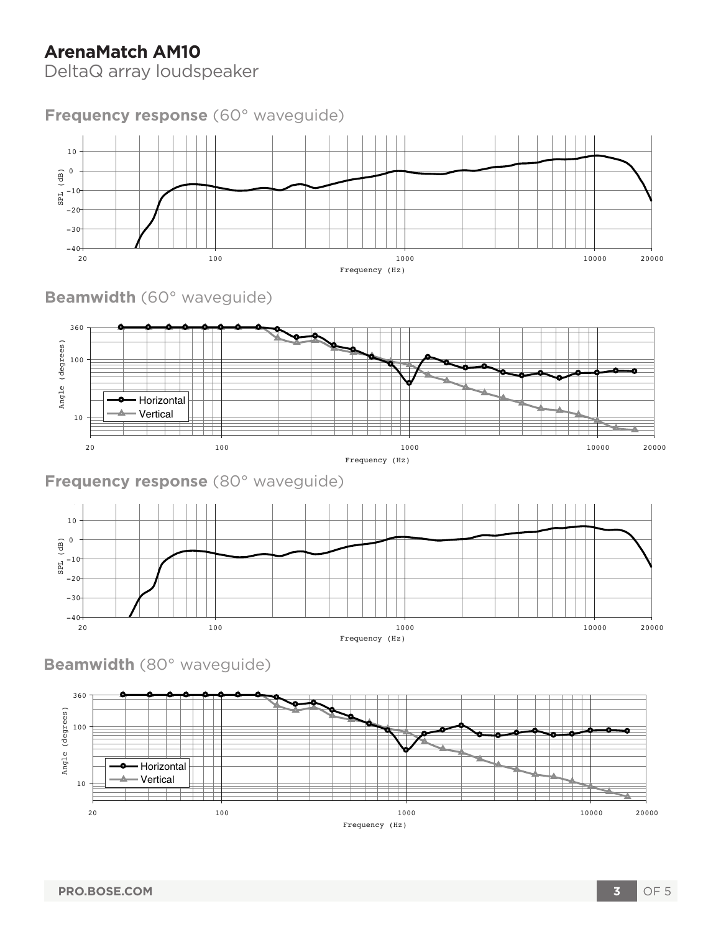DeltaQ array loudspeaker

### **Frequency response** (60° waveguide)



**Beamwidth** (60° waveguide)



**Frequency response** (80° waveguide)



**Beamwidth** (80° waveguide)

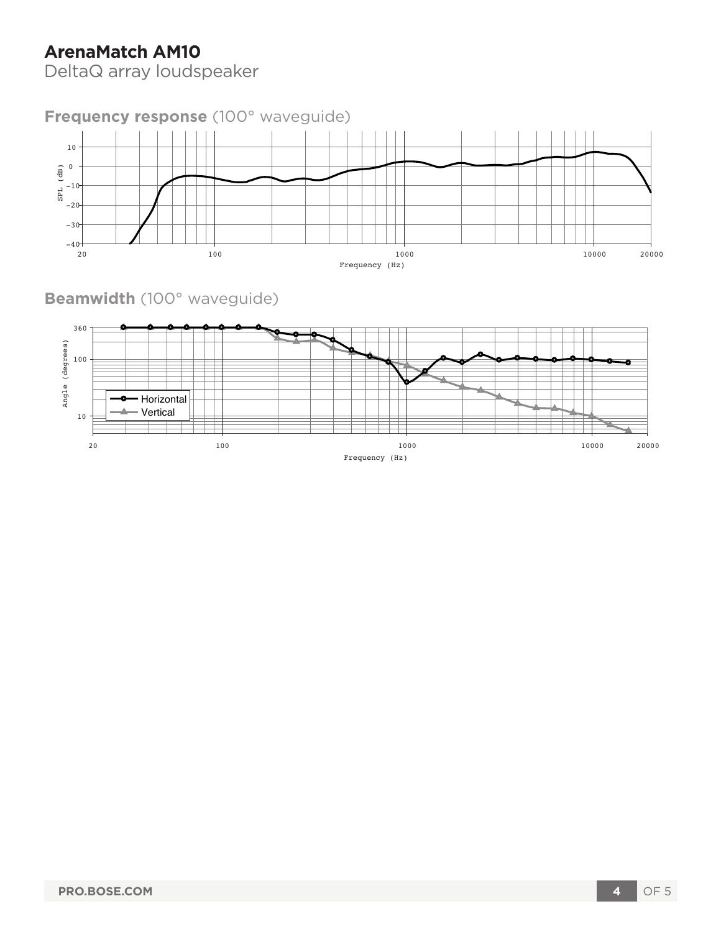DeltaQ array loudspeaker



**Beamwidth** (100° waveguide)